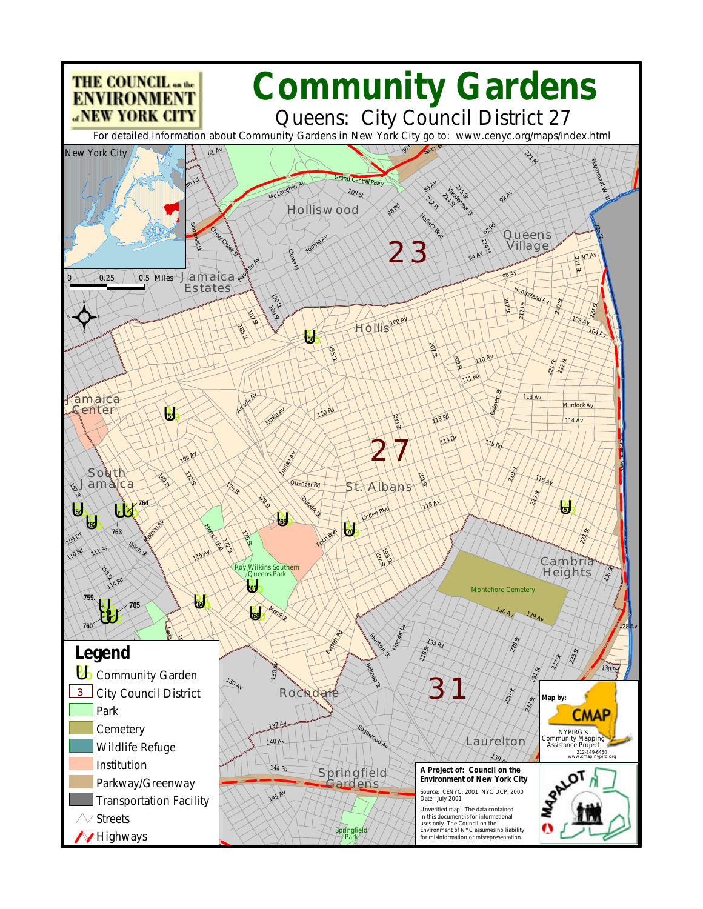